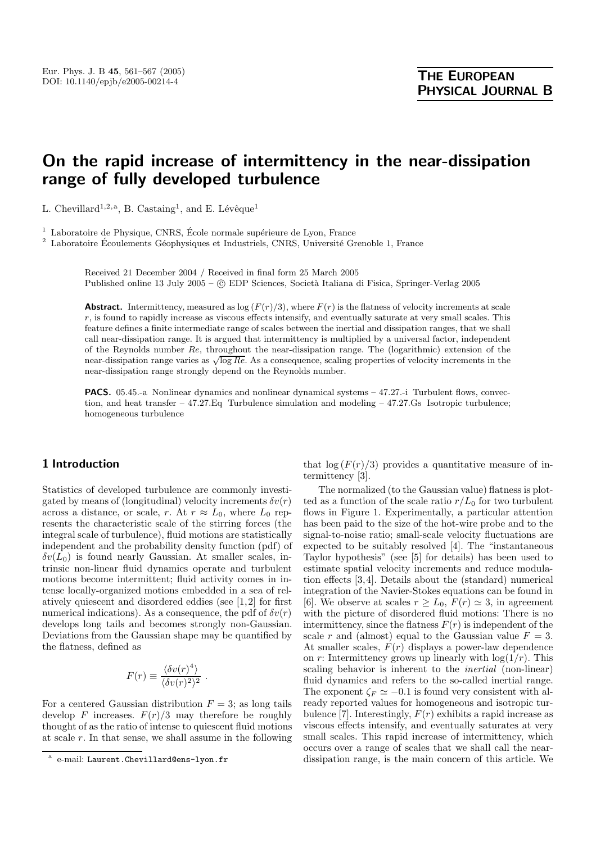# **On the rapid increase of intermittency in the near-dissipation range of fully developed turbulence**

L. Chevillard<sup>1,2,a</sup>, B. Castaing<sup>1</sup>, and E. Lévêque<sup>1</sup>

 $1$  Laboratoire de Physique, CNRS, École normale supérieure de Lyon, France

 $2$  Laboratoire Écoulements Géophysiques et Industriels, CNRS, Université Grenoble 1, France

Received 21 December 2004 / Received in final form 25 March 2005 Published online 13 July 2005 – C EDP Sciences, Società Italiana di Fisica, Springer-Verlag 2005

**Abstract.** Intermittency, measured as  $\log (F(r)/3)$ , where  $F(r)$  is the flatness of velocity increments at scale r, is found to rapidly increase as viscous effects intensify, and eventually saturate at very small scales. This feature defines a finite intermediate range of scales between the inertial and dissipation ranges, that we shall call near-dissipation range. It is argued that intermittency is multiplied by a universal factor, independent of the Reynolds number Re, throughout the near-dissipation range. The (logarithmic) extension of the near-dissipation range varies as  $\sqrt{\log Re}$ . As a consequence, scaling properties of velocity increments in the near-dissipation range strongly depend on the Reynolds number.

**PACS.** 05.45.-a Nonlinear dynamics and nonlinear dynamical systems – 47.27.-i Turbulent flows, convection, and heat transfer – 47.27.Eq Turbulence simulation and modeling – 47.27.Gs Isotropic turbulence; homogeneous turbulence

## **1 Introduction**

Statistics of developed turbulence are commonly investigated by means of (longitudinal) velocity increments  $\delta v(r)$ across a distance, or scale, r. At  $r \approx L_0$ , where  $L_0$  represents the characteristic scale of the stirring forces (the integral scale of turbulence), fluid motions are statistically independent and the probability density function (pdf) of  $\delta v(L_0)$  is found nearly Gaussian. At smaller scales, intrinsic non-linear fluid dynamics operate and turbulent motions become intermittent; fluid activity comes in intense locally-organized motions embedded in a sea of relatively quiescent and disordered eddies (see [1,2] for first numerical indications). As a consequence, the pdf of  $\delta v(r)$ develops long tails and becomes strongly non-Gaussian. Deviations from the Gaussian shape may be quantified by the flatness, defined as

$$
F(r) \equiv \frac{\langle \delta v(r)^4 \rangle}{\langle \delta v(r)^2 \rangle^2} .
$$

For a centered Gaussian distribution  $F = 3$ ; as long tails develop F increases.  $F(r)/3$  may therefore be roughly thought of as the ratio of intense to quiescent fluid motions at scale r. In that sense, we shall assume in the following that  $\log (F(r)/3)$  provides a quantitative measure of intermittency [3].

The normalized (to the Gaussian value) flatness is plotted as a function of the scale ratio  $r/L_0$  for two turbulent flows in Figure 1. Experimentally, a particular attention has been paid to the size of the hot-wire probe and to the signal-to-noise ratio; small-scale velocity fluctuations are expected to be suitably resolved [4]. The "instantaneous Taylor hypothesis" (see [5] for details) has been used to estimate spatial velocity increments and reduce modulation effects [3,4]. Details about the (standard) numerical integration of the Navier-Stokes equations can be found in [6]. We observe at scales  $r \geq L_0$ ,  $F(r) \simeq 3$ , in agreement with the picture of disordered fluid motions: There is no intermittency, since the flatness  $F(r)$  is independent of the scale r and (almost) equal to the Gaussian value  $F = 3$ . At smaller scales,  $F(r)$  displays a power-law dependence on r: Intermittency grows up linearly with  $\log(1/r)$ . This scaling behavior is inherent to the *inertial* (non-linear) fluid dynamics and refers to the so-called inertial range. The exponent  $\zeta_F \simeq -0.1$  is found very consistent with already reported values for homogeneous and isotropic turbulence [7]. Interestingly,  $F(r)$  exhibits a rapid increase as viscous effects intensify, and eventually saturates at very small scales. This rapid increase of intermittency, which occurs over a range of scales that we shall call the neardissipation range, is the main concern of this article. We

e-mail: Laurent.Chevillard@ens-lyon.fr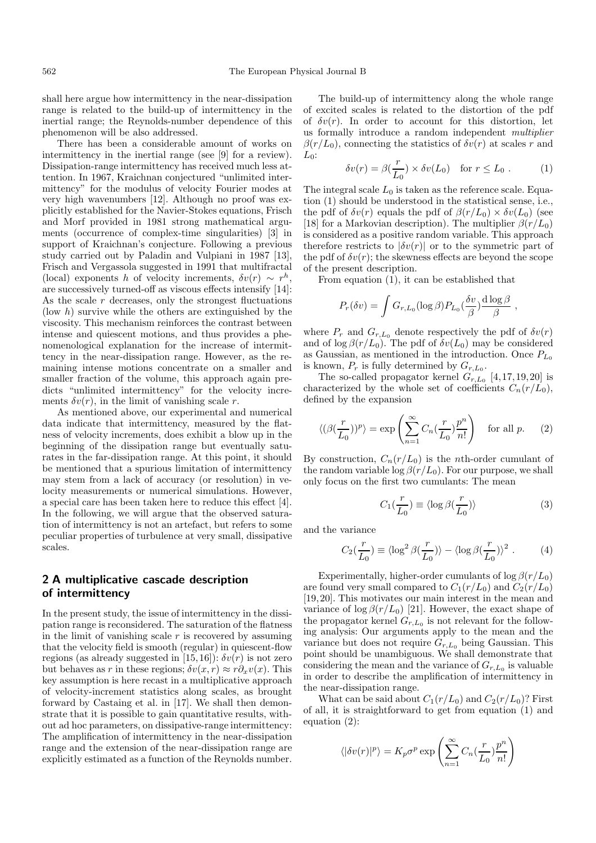shall here argue how intermittency in the near-dissipation range is related to the build-up of intermittency in the inertial range; the Reynolds-number dependence of this phenomenon will be also addressed.

There has been a considerable amount of works on intermittency in the inertial range (see [9] for a review). Dissipation-range intermittency has received much less attention. In 1967, Kraichnan conjectured "unlimited intermittency" for the modulus of velocity Fourier modes at very high wavenumbers [12]. Although no proof was explicitly established for the Navier-Stokes equations, Frisch and Morf provided in 1981 strong mathematical arguments (occurrence of complex-time singularities) [3] in support of Kraichnan's conjecture. Following a previous study carried out by Paladin and Vulpiani in 1987 [13], Frisch and Vergassola suggested in 1991 that multifractal (local) exponents h of velocity increments,  $\delta v(r) \sim r^h$ , are successively turned-off as viscous effects intensify [14]: As the scale  $r$  decreases, only the strongest fluctuations (low  $h$ ) survive while the others are extinguished by the viscosity. This mechanism reinforces the contrast between intense and quiescent motions, and thus provides a phenomenological explanation for the increase of intermittency in the near-dissipation range. However, as the remaining intense motions concentrate on a smaller and smaller fraction of the volume, this approach again predicts "unlimited intermittency" for the velocity increments  $\delta v(r)$ , in the limit of vanishing scale r.

As mentioned above, our experimental and numerical data indicate that intermittency, measured by the flatness of velocity increments, does exhibit a blow up in the beginning of the dissipation range but eventually saturates in the far-dissipation range. At this point, it should be mentioned that a spurious limitation of intermittency may stem from a lack of accuracy (or resolution) in velocity measurements or numerical simulations. However, a special care has been taken here to reduce this effect [4]. In the following, we will argue that the observed saturation of intermittency is not an artefact, but refers to some peculiar properties of turbulence at very small, dissipative scales.

# **2 A multiplicative cascade description of intermittency**

In the present study, the issue of intermittency in the dissipation range is reconsidered. The saturation of the flatness in the limit of vanishing scale  $r$  is recovered by assuming that the velocity field is smooth (regular) in quiescent-flow regions (as already suggested in [15,16]):  $\delta v(r)$  is not zero but behaves as r in these regions;  $\delta v(x, r) \approx r \partial_x v(x)$ . This key assumption is here recast in a multiplicative approach of velocity-increment statistics along scales, as brought forward by Castaing et al. in [17]. We shall then demonstrate that it is possible to gain quantitative results, without ad hoc parameters, on dissipative-range intermittency: The amplification of intermittency in the near-dissipation range and the extension of the near-dissipation range are explicitly estimated as a function of the Reynolds number.

The build-up of intermittency along the whole range of excited scales is related to the distortion of the pdf of  $\delta v(r)$ . In order to account for this distortion, let us formally introduce a random independent *multiplier*  $\beta(r/L_0)$ , connecting the statistics of  $\delta v(r)$  at scales r and  $Ln:$ 

$$
\delta v(r) = \beta(\frac{r}{L_0}) \times \delta v(L_0) \quad \text{for } r \le L_0 . \tag{1}
$$

The integral scale  $L_0$  is taken as the reference scale. Equation (1) should be understood in the statistical sense, i.e., the pdf of  $\delta v(r)$  equals the pdf of  $\beta(r/L_0) \times \delta v(L_0)$  (see [18] for a Markovian description). The multiplier  $\beta(r/L_0)$ is considered as a positive random variable. This approach therefore restricts to  $|\delta v(r)|$  or to the symmetric part of the pdf of  $\delta v(r)$ ; the skewness effects are beyond the scope of the present description.

From equation (1), it can be established that

$$
P_r(\delta v) = \int G_{r,L_0}(\log \beta) P_{L_0}(\frac{\delta v}{\beta}) \frac{d \log \beta}{\beta} ,
$$

where  $P_r$  and  $G_{r,L_0}$  denote respectively the pdf of  $\delta v(r)$ and of  $\log \beta(r/L_0)$ . The pdf of  $\delta v(L_0)$  may be considered as Gaussian, as mentioned in the introduction. Once  $P_{L_0}$ is known,  $P_r$  is fully determined by  $G_{r,L_0}$ .

The so-called propagator kernel  $G_{r,L_0}$  [4,17,19,20] is characterized by the whole set of coefficients  $C_n(r/L_0)$ , defined by the expansion

$$
\langle (\beta(\frac{r}{L_0}))^p \rangle = \exp\left(\sum_{n=1}^{\infty} C_n(\frac{r}{L_0}) \frac{p^n}{n!}\right) \quad \text{for all } p. \tag{2}
$$

By construction,  $C_n(r/L_0)$  is the *n*th-order cumulant of the random variable  $\log \beta(r/L_0)$ . For our purpose, we shall only focus on the first two cumulants: The mean

$$
C_1(\frac{r}{L_0}) \equiv \langle \log \beta(\frac{r}{L_0}) \rangle \tag{3}
$$

and the variance

$$
C_2(\frac{r}{L_0}) \equiv \langle \log^2 \beta(\frac{r}{L_0}) \rangle - \langle \log \beta(\frac{r}{L_0}) \rangle^2 . \tag{4}
$$

Experimentally, higher-order cumulants of  $\log \beta(r/L_0)$ are found very small compared to  $C_1(r/L_0)$  and  $C_2(r/L_0)$ [19,20]. This motivates our main interest in the mean and variance of  $\log \beta(r/L_0)$  [21]. However, the exact shape of the propagator kernel  $G_{r,L_0}$  is not relevant for the following analysis: Our arguments apply to the mean and the variance but does not require  $G_{r,L_0}$  being Gaussian. This point should be unambiguous. We shall demonstrate that considering the mean and the variance of  $G_{r,L_0}$  is valuable in order to describe the amplification of intermittency in the near-dissipation range.

What can be said about  $C_1(r/L_0)$  and  $C_2(r/L_0)$ ? First of all, it is straightforward to get from equation (1) and equation  $(2)$ :

$$
\langle |\delta v(r)|^p \rangle = K_p \sigma^p \exp \left( \sum_{n=1}^{\infty} C_n \left( \frac{r}{L_0} \right) \frac{p^n}{n!} \right)
$$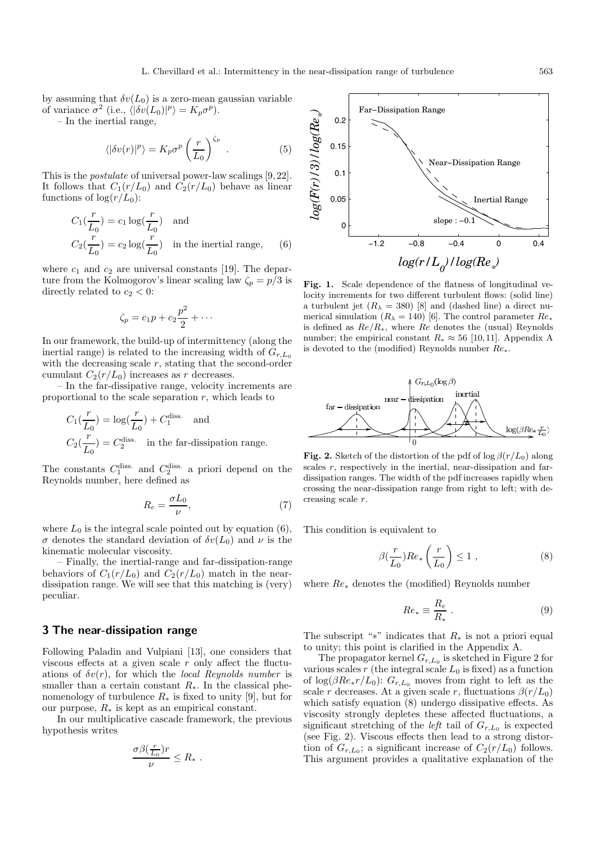by assuming that  $\delta v(L_0)$  is a zero-mean gaussian variable of variance  $\sigma^2$  (i.e.,  $\langle |\delta v(L_0)|^p \rangle = K_p \sigma^p$ ).

– In the inertial range,

$$
\langle |\delta v(r)|^p \rangle = K_p \sigma^p \left(\frac{r}{L_0}\right)^{\zeta_p} . \tag{5}
$$

This is the *postulate* of universal power-law scalings [9,22]. It follows that  $C_1(r/L_0)$  and  $C_2(r/L_0)$  behave as linear functions of  $\log(r/L_0)$ :

$$
C_1(\frac{r}{L_0}) = c_1 \log(\frac{r}{L_0})
$$
 and  

$$
C_2(\frac{r}{L_0}) = c_2 \log(\frac{r}{L_0})
$$
 in the inertial range, (6)

where  $c_1$  and  $c_2$  are universal constants [19]. The departure from the Kolmogorov's linear scaling law  $\zeta_p = p/3$  is directly related to  $c_2 < 0$ :

$$
\zeta_p = c_1 p + c_2 \frac{p^2}{2} + \cdots
$$

In our framework, the build-up of intermittency (along the inertial range) is related to the increasing width of  $G_{r,L_0}$ with the decreasing scale  $r$ , stating that the second-order cumulant  $C_2(r/L_0)$  increases as r decreases.

– In the far-dissipative range, velocity increments are proportional to the scale separation  $r$ , which leads to

$$
C_1(\frac{r}{L_0}) = \log(\frac{r}{L_0}) + C_1^{\text{diss.}}
$$
 and  

$$
C_2(\frac{r}{L_0}) = C_2^{\text{diss.}}
$$
 in the far-dissipation range.

The constants  $C_1^{\text{diss.}}$  and  $C_2^{\text{diss.}}$  a priori depend on the Reynolds number, here defined as

$$
R_e = \frac{\sigma L_0}{\nu},\tag{7}
$$

where  $L_0$  is the integral scale pointed out by equation (6), σ denotes the standard deviation of  $\delta v(L_0)$  and ν is the kinematic molecular viscosity.

– Finally, the inertial-range and far-dissipation-range behaviors of  $C_1(r/L_0)$  and  $C_2(r/L_0)$  match in the neardissipation range. We will see that this matching is (very) peculiar.

#### **3 The near-dissipation range**

Following Paladin and Vulpiani [13], one considers that viscous effects at a given scale r only affect the fluctuations of  $\delta v(r)$ , for which the *local Reynolds number* is smaller than a certain constant  $R_{\star}$ . In the classical phenomenology of turbulence  $R_*$  is fixed to unity [9], but for our purpose,  $R_*$  is kept as an empirical constant.

In our multiplicative cascade framework, the previous hypothesis writes

$$
\frac{\sigma\beta(\frac{r}{L_0})r}{\nu}\leq R_*.
$$



Fig. 1. Scale dependence of the flatness of longitudinal velocity increments for two different turbulent flows: (solid line) a turbulent jet  $(R_{\lambda} = 380)$  [8] and (dashed line) a direct numerical simulation  $(R_{\lambda} = 140)$  [6]. The control parameter  $Re_{*}$ is defined as  $Re/R_*$ , where  $Re$  denotes the (usual) Reynolds number; the empirical constant  $R_* \approx 56$  [10,11]. Appendix A is devoted to the (modified) Reynolds number  $Re_*$ .



**Fig. 2.** Sketch of the distortion of the pdf of log  $\beta(r/L_0)$  along scales  $r$ , respectively in the inertial, near-dissipation and fardissipation ranges. The width of the pdf increases rapidly when crossing the near-dissipation range from right to left; with decreasing scale r.

This condition is equivalent to

$$
\beta(\frac{r}{L_0})Re_*\left(\frac{r}{L_0}\right) \le 1 ,\qquad (8)
$$

where Re<sup>∗</sup> denotes the (modified) Reynolds number

$$
Re_* \equiv \frac{R_e}{R_*} \ . \tag{9}
$$

The subscript "∗" indicates that  $R_*$  is not a priori equal to unity; this point is clarified in the Appendix A.

The propagator kernel  $G_{r,L_0}$  is sketched in Figure 2 for various scales  $r$  (the integral scale  $L_0$  is fixed) as a function of  $\log(\beta Re_* r/L_0)$ :  $G_{r,L_0}$  moves from right to left as the scale r decreases. At a given scale r, fluctuations  $\beta(r/L_0)$ which satisfy equation (8) undergo dissipative effects. As viscosity strongly depletes these affected fluctuations, a significant stretching of the *left* tail of  $G_{r,L_0}$  is expected (see Fig. 2). Viscous effects then lead to a strong distortion of  $G_{r,L_0}$ ; a significant increase of  $C_2(r/L_0)$  follows. This argument provides a qualitative explanation of the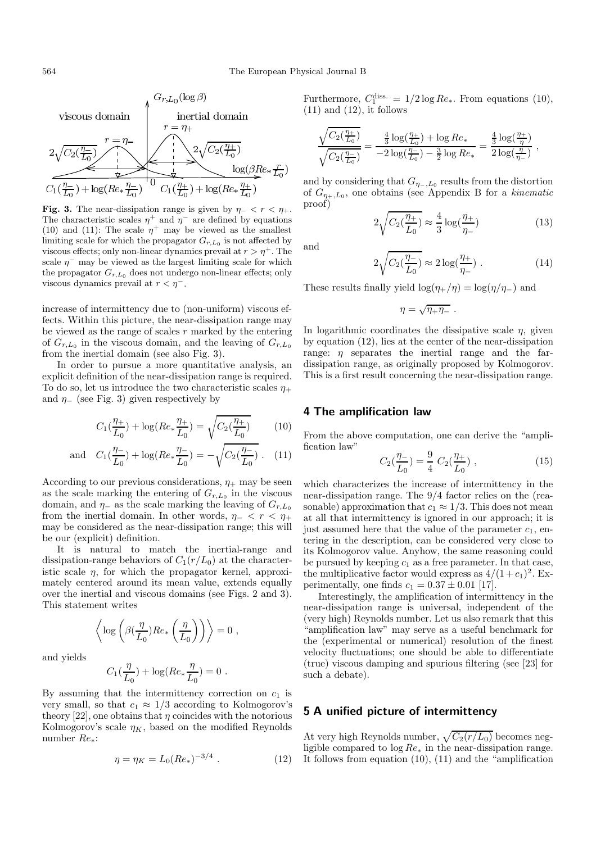

**Fig. 3.** The near-dissipation range is given by  $\eta$ - <  $r$  <  $\eta$ +. The characteristic scales  $\eta^+$  and  $\eta^-$  are defined by equations (10) and (11): The scale  $\eta^+$  may be viewed as the smallest limiting scale for which the propagator  $G_{r,L_0}$  is not affected by viscous effects; only non-linear dynamics prevail at  $r > \eta^+$ . The scale  $\eta^-$  may be viewed as the largest limiting scale for which the propagator  $G_{r,L_0}$  does not undergo non-linear effects; only viscous dynamics prevail at  $r < \eta$ <sup>-</sup>.

increase of intermittency due to (non-uniform) viscous effects. Within this picture, the near-dissipation range may be viewed as the range of scales  $r$  marked by the entering of  $G_{r,L_0}$  in the viscous domain, and the leaving of  $G_{r,L_0}$ from the inertial domain (see also Fig. 3).

In order to pursue a more quantitative analysis, an explicit definition of the near-dissipation range is required. To do so, let us introduce the two characteristic scales  $\eta_+$ and  $\eta$ <sub>-</sub> (see Fig. 3) given respectively by

$$
C_1(\frac{\eta_+}{L_0}) + \log(Re_* \frac{\eta_+}{L_0}) = \sqrt{C_2(\frac{\eta_+}{L_0})}
$$
 (10)

and 
$$
C_1(\frac{\eta_-}{L_0}) + \log(Re_* \frac{\eta_-}{L_0}) = -\sqrt{C_2(\frac{\eta_-}{L_0})}
$$
. (11)

According to our previous considerations,  $\eta_+$  may be seen as the scale marking the entering of  $G_{r,L_0}$  in the viscous domain, and  $\eta$  as the scale marking the leaving of  $G_{r,L_0}$ from the inertial domain. In other words,  $\eta_ < r < \eta_+$ may be considered as the near-dissipation range; this will be our (explicit) definition.

It is natural to match the inertial-range and dissipation-range behaviors of  $C_1(r/L_0)$  at the characteristic scale  $\eta$ , for which the propagator kernel, approximately centered around its mean value, extends equally over the inertial and viscous domains (see Figs. 2 and 3). This statement writes

$$
\left\langle \log\left(\beta(\frac{\eta}{L_0}) Re_*\left(\frac{\eta}{L_0}\right)\right)\right\rangle = 0 \ ,
$$

and yields

$$
C_1(\frac{\eta}{L_0}) + \log(Re_* \frac{\eta}{L_0}) = 0.
$$

By assuming that the intermittency correction on  $c_1$  is very small, so that  $c_1 \approx 1/3$  according to Kolmogorov's theory [22], one obtains that  $\eta$  coincides with the notorious Kolmogorov's scale  $\eta_K$ , based on the modified Reynolds number Re∗:

$$
\eta = \eta_K = L_0 (Re_*)^{-3/4} . \tag{12}
$$

Furthermore,  $C_1^{\text{diss.}} = 1/2 \log Re_*$ . From equations (10),  $(11)$  and  $(12)$ , it follows

$$
\frac{\sqrt{C_2(\frac{\eta_+}{L_0})}}{\sqrt{C_2(\frac{\eta_-}{L_0})}} = \frac{\frac{4}{3}\log(\frac{\eta_+}{L_0}) + \log Re_*}{-2\log(\frac{\eta_-}{L_0}) - \frac{3}{2}\log Re_*} = \frac{\frac{4}{3}\log(\frac{\eta_+}{\eta})}{2\log(\frac{\eta_-}{\eta_-})},
$$

and by considering that  $G_{\eta_-,\underline{L}_0}$  results from the distortion of Gη+,L<sup>0</sup> , one obtains (see Appendix B for a *kinematic* proof)

$$
2\sqrt{C_2(\frac{\eta_+}{L_0})} \approx \frac{4}{3}\log(\frac{\eta_+}{\eta_-})\tag{13}
$$

and

$$
2\sqrt{C_2(\frac{\eta_-}{L_0})} \approx 2\log(\frac{\eta_+}{\eta_-})\ .\tag{14}
$$

These results finally yield  $\log(\eta_+/\eta) = \log(\eta/\eta_-)$  and

$$
\eta = \sqrt{\eta_+\eta_-}~.
$$

In logarithmic coordinates the dissipative scale  $\eta$ , given by equation (12), lies at the center of the near-dissipation range:  $\eta$  separates the inertial range and the fardissipation range, as originally proposed by Kolmogorov. This is a first result concerning the near-dissipation range.

## **4 The amplification law**

From the above computation, one can derive the "amplification law"

$$
C_2(\frac{\eta_-}{L_0}) = \frac{9}{4} C_2(\frac{\eta_+}{L_0}), \qquad (15)
$$

which characterizes the increase of intermittency in the near-dissipation range. The 9/4 factor relies on the (reasonable) approximation that  $c_1 \approx 1/3$ . This does not mean at all that intermittency is ignored in our approach; it is just assumed here that the value of the parameter  $c_1$ , entering in the description, can be considered very close to its Kolmogorov value. Anyhow, the same reasoning could be pursued by keeping  $c_1$  as a free parameter. In that case, the multiplicative factor would express as  $4/(1+c_1)^2$ . Experimentally, one finds  $c_1 = 0.37 \pm 0.01$  [17].

Interestingly, the amplification of intermittency in the near-dissipation range is universal, independent of the (very high) Reynolds number. Let us also remark that this "amplification law" may serve as a useful benchmark for the (experimental or numerical) resolution of the finest velocity fluctuations; one should be able to differentiate (true) viscous damping and spurious filtering (see [23] for such a debate).

## **5 A unified picture of intermittency**

At very high Reynolds number,  $\sqrt{C_2(r/L_0)}$  becomes negligible compared to  $log Re_*$  in the near-dissipation range. It follows from equation (10), (11) and the "amplification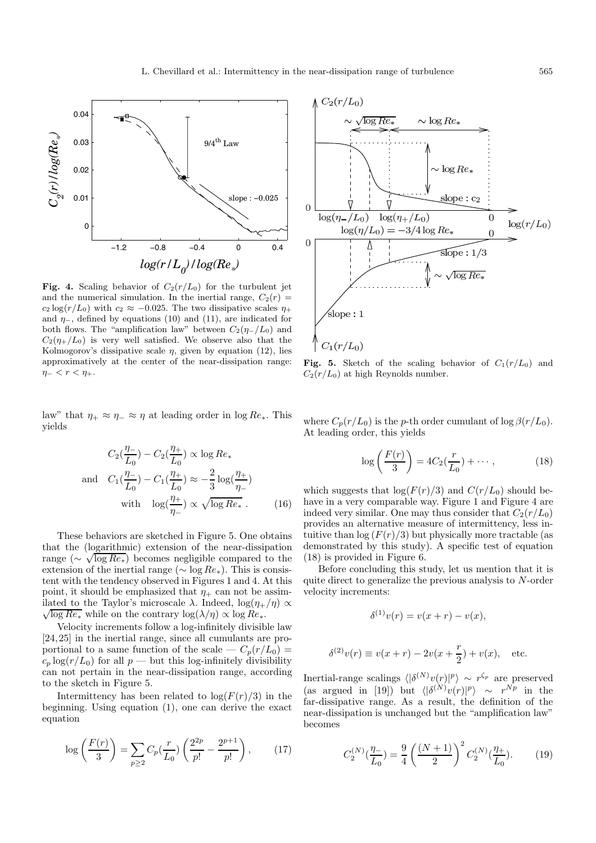

**Fig. 4.** Scaling behavior of  $C_2(r/L_0)$  for the turbulent jet and the numerical simulation. In the inertial range,  $C_2(r)$  =  $c_2 \log(r/L_0)$  with  $c_2 \approx -0.025$ . The two dissipative scales  $\eta_+$ and  $\eta$ <sub>-</sub>, defined by equations (10) and (11), are indicated for both flows. The "amplification law" between  $C_2(\eta_-/L_0)$  and  $C_2(\eta_+/L_0)$  is very well satisfied. We observe also that the Kolmogorov's dissipative scale  $\eta$ , given by equation (12), lies approximatively at the center of the near-dissipation range:  $\eta-$  <  $r$  <  $\eta$ +.

law" that  $\eta_+ \approx \eta_- \approx \eta$  at leading order in log  $Re_*$ . This yields

$$
C_2(\frac{\eta_-}{L_0}) - C_2(\frac{\eta_+}{L_0}) \propto \log Re_*
$$
  
and 
$$
C_1(\frac{\eta_-}{L_0}) - C_1(\frac{\eta_+}{L_0}) \approx -\frac{2}{3}\log(\frac{\eta_+}{\eta_-})
$$
  
with 
$$
\log(\frac{\eta_+}{\eta_-}) \propto \sqrt{\log Re_*}.
$$
 (16)

These behaviors are sketched in Figure 5. One obtains that the (logarithmic) extension of the near-dissipation range ( $\sim \sqrt{\log Re_*}$ ) becomes negligible compared to the extension of the inertial range ( $\sim$  log  $Re_*$ ). This is consistent with the tendency observed in Figures 1 and 4. At this point, it should be emphasized that  $\eta_+$  can not be assimilated to the Taylor's microscale  $\lambda$ . Indeed,  $\log(\eta_+/\eta) \propto$  $\sqrt{\log Re_*}$  while on the contrary  $\log(\lambda/\eta) \propto \log Re_*$ .

Velocity increments follow a log-infinitely divisible law [24,25] in the inertial range, since all cumulants are proportional to a same function of the scale —  $C_p(r/L_0)$  =  $c_p \log(r/L_0)$  for all  $p \to$  but this log-infinitely divisibility can not pertain in the near-dissipation range, according to the sketch in Figure 5.

Intermittency has been related to  $log(F(r)/3)$  in the beginning. Using equation (1), one can derive the exact equation

$$
\log\left(\frac{F(r)}{3}\right) = \sum_{p\geq 2} C_p(\frac{r}{L_0}) \left(\frac{2^{2p}}{p!} - \frac{2^{p+1}}{p!}\right),\qquad(17)
$$



**Fig. 5.** Sketch of the scaling behavior of  $C_1(r/L_0)$  and  $C_2(r/L_0)$  at high Reynolds number.

where  $C_p(r/L_0)$  is the p-th order cumulant of log  $\beta(r/L_0)$ . At leading order, this yields

$$
\log\left(\frac{F(r)}{3}\right) = 4C_2(\frac{r}{L_0}) + \cdots, \qquad (18)
$$

which suggests that  $\log(F(r)/3)$  and  $C(r/L_0)$  should behave in a very comparable way. Figure 1 and Figure 4 are indeed very similar. One may thus consider that  $C_2(r/L_0)$ provides an alternative measure of intermittency, less intuitive than  $\log (F(r)/3)$  but physically more tractable (as demonstrated by this study). A specific test of equation (18) is provided in Figure 6.

Before concluding this study, let us mention that it is quite direct to generalize the previous analysis to N-order velocity increments:

$$
\delta^{(1)}v(r) = v(x+r) - v(x),
$$
  

$$
\delta^{(2)}v(r) \equiv v(x+r) - 2v(x+\frac{r}{2}) + v(x), \text{ etc.}
$$

Inertial-range scalings  $\langle |\delta^{(N)}v(r)|^p \rangle \sim r^{\zeta_p}$  are preserved (as argued in [19]) but  $\langle |\delta^{(N)}v(r)|^p \rangle \sim r^{Np}$  in the far-dissipative range. As a result, the definition of the near-dissipation is unchanged but the "amplification law" becomes

$$
C_2^{(N)}\left(\frac{\eta_-}{L_0}\right) = \frac{9}{4} \left(\frac{(N+1)}{2}\right)^2 C_2^{(N)}\left(\frac{\eta_+}{L_0}\right). \tag{19}
$$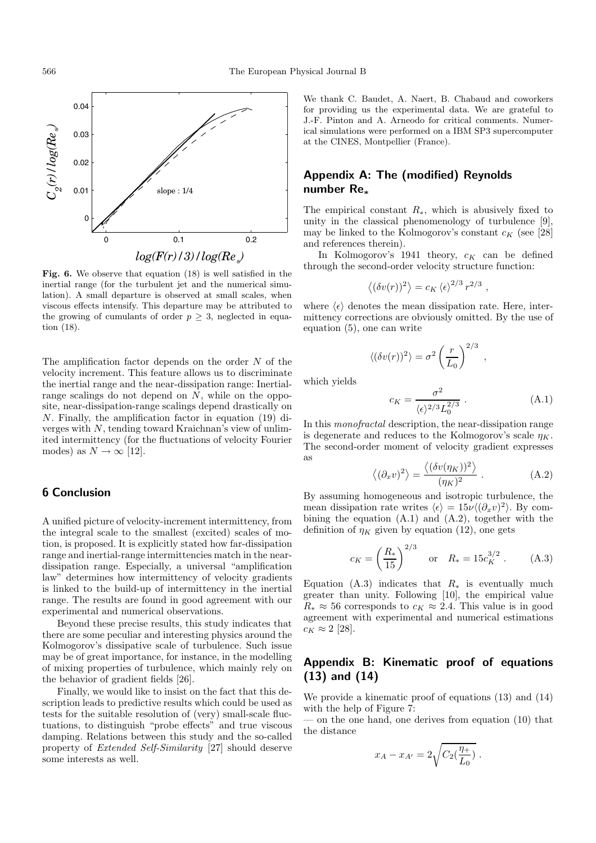

**Fig. 6.** We observe that equation (18) is well satisfied in the inertial range (for the turbulent jet and the numerical simulation). A small departure is observed at small scales, when viscous effects intensify. This departure may be attributed to the growing of cumulants of order  $p \geq 3$ , neglected in equation (18).

The amplification factor depends on the order  $N$  of the velocity increment. This feature allows us to discriminate the inertial range and the near-dissipation range: Inertialrange scalings do not depend on N, while on the opposite, near-dissipation-range scalings depend drastically on N. Finally, the amplification factor in equation (19) diverges with N, tending toward Kraichnan's view of unlimited intermittency (for the fluctuations of velocity Fourier modes) as  $N \to \infty$  [12].

# **6 Conclusion**

A unified picture of velocity-increment intermittency, from the integral scale to the smallest (excited) scales of motion, is proposed. It is explicitly stated how far-dissipation range and inertial-range intermittencies match in the neardissipation range. Especially, a universal "amplification law" determines how intermittency of velocity gradients is linked to the build-up of intermittency in the inertial range. The results are found in good agreement with our experimental and numerical observations.

Beyond these precise results, this study indicates that there are some peculiar and interesting physics around the Kolmogorov's dissipative scale of turbulence. Such issue may be of great importance, for instance, in the modelling of mixing properties of turbulence, which mainly rely on the behavior of gradient fields [26].

Finally, we would like to insist on the fact that this description leads to predictive results which could be used as tests for the suitable resolution of (very) small-scale fluctuations, to distinguish "probe effects" and true viscous damping. Relations between this study and the so-called property of *Extended Self-Similarity* [27] should deserve some interests as well.

We thank C. Baudet, A. Naert, B. Chabaud and coworkers for providing us the experimental data. We are grateful to J.-F. Pinton and A. Arneodo for critical comments. Numerical simulations were performed on a IBM SP3 supercomputer at the CINES, Montpellier (France).

# **Appendix A: The (modified) Reynolds number Re***<sup>∗</sup>*

The empirical constant  $R_{\ast}$ , which is abusively fixed to unity in the classical phenomenology of turbulence [9], may be linked to the Kolmogorov's constant  $c_K$  (see [28] and references therein).

In Kolmogorov's 1941 theory,  $c_K$  can be defined through the second-order velocity structure function:

$$
\langle (\delta v(r))^2 \rangle = c_K \langle \epsilon \rangle^{2/3} r^{2/3} ,
$$

where  $\langle \epsilon \rangle$  denotes the mean dissipation rate. Here, intermittency corrections are obviously omitted. By the use of equation (5), one can write

$$
\langle (\delta v(r))^2 \rangle = \sigma^2 \left(\frac{r}{L_0}\right)^{2/3}
$$

which yields

$$
c_K = \frac{\sigma^2}{\langle \epsilon \rangle^{2/3} L_0^{2/3}} \ . \tag{A.1}
$$

,

In this *monofractal* description, the near-dissipation range is degenerate and reduces to the Kolmogorov's scale  $\eta_K$ . The second-order moment of velocity gradient expresses as

$$
\langle (\partial_x v)^2 \rangle = \frac{\langle (\delta v(\eta_K))^2 \rangle}{(\eta_K)^2} . \tag{A.2}
$$

By assuming homogeneous and isotropic turbulence, the mean dissipation rate writes  $\langle \epsilon \rangle = 15\nu \langle (\partial_x v)^2 \rangle$ . By combining the equation (A.1) and (A.2), together with the definition of  $\eta_K$  given by equation (12), one gets

$$
c_K = \left(\frac{R_*}{15}\right)^{2/3}
$$
 or  $R_* = 15c_K^{3/2}$ . (A.3)

Equation (A.3) indicates that  $R_*$  is eventually much greater than unity. Following [10], the empirical value  $R_* \approx 56$  corresponds to  $c_K \approx 2.4$ . This value is in good agreement with experimental and numerical estimations  $c_K \approx 2$  [28].

# **Appendix B: Kinematic proof of equations (13) and (14)**

We provide a kinematic proof of equations (13) and (14) with the help of Figure 7:

— on the one hand, one derives from equation (10) that the distance

$$
x_A - x_{A'} = 2\sqrt{C_2(\frac{\eta_+}{L_0})}.
$$